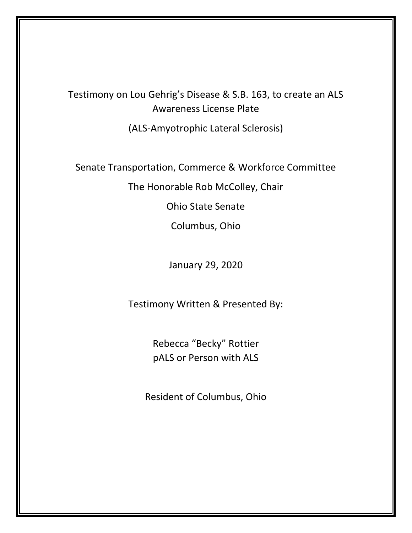## Testimony on Lou Gehrig's Disease & S.B. 163, to create an ALS Awareness License Plate

(ALS-Amyotrophic Lateral Sclerosis)

Senate Transportation, Commerce & Workforce Committee

The Honorable Rob McColley, Chair

Ohio State Senate

Columbus, Ohio

January 29, 2020

Testimony Written & Presented By:

Rebecca "Becky" Rottier pALS or Person with ALS

Resident of Columbus, Ohio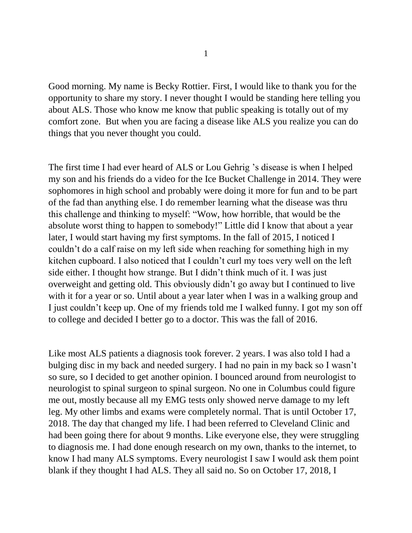Good morning. My name is Becky Rottier. First, I would like to thank you for the opportunity to share my story. I never thought I would be standing here telling you about ALS. Those who know me know that public speaking is totally out of my comfort zone. But when you are facing a disease like ALS you realize you can do things that you never thought you could.

The first time I had ever heard of ALS or Lou Gehrig 's disease is when I helped my son and his friends do a video for the Ice Bucket Challenge in 2014. They were sophomores in high school and probably were doing it more for fun and to be part of the fad than anything else. I do remember learning what the disease was thru this challenge and thinking to myself: "Wow, how horrible, that would be the absolute worst thing to happen to somebody!" Little did I know that about a year later, I would start having my first symptoms. In the fall of 2015, I noticed I couldn't do a calf raise on my left side when reaching for something high in my kitchen cupboard. I also noticed that I couldn't curl my toes very well on the left side either. I thought how strange. But I didn't think much of it. I was just overweight and getting old. This obviously didn't go away but I continued to live with it for a year or so. Until about a year later when I was in a walking group and I just couldn't keep up. One of my friends told me I walked funny. I got my son off to college and decided I better go to a doctor. This was the fall of 2016.

Like most ALS patients a diagnosis took forever. 2 years. I was also told I had a bulging disc in my back and needed surgery. I had no pain in my back so I wasn't so sure, so I decided to get another opinion. I bounced around from neurologist to neurologist to spinal surgeon to spinal surgeon. No one in Columbus could figure me out, mostly because all my EMG tests only showed nerve damage to my left leg. My other limbs and exams were completely normal. That is until October 17, 2018. The day that changed my life. I had been referred to Cleveland Clinic and had been going there for about 9 months. Like everyone else, they were struggling to diagnosis me. I had done enough research on my own, thanks to the internet, to know I had many ALS symptoms. Every neurologist I saw I would ask them point blank if they thought I had ALS. They all said no. So on October 17, 2018, I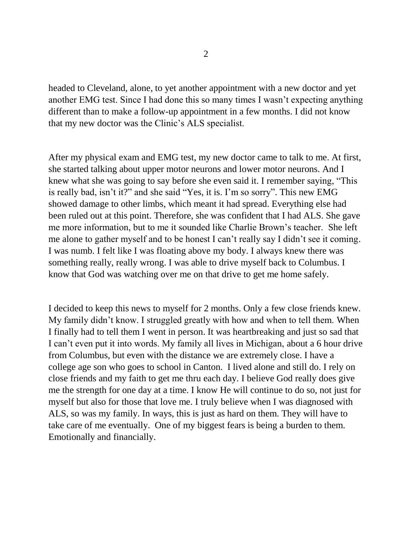headed to Cleveland, alone, to yet another appointment with a new doctor and yet another EMG test. Since I had done this so many times I wasn't expecting anything different than to make a follow-up appointment in a few months. I did not know that my new doctor was the Clinic's ALS specialist.

After my physical exam and EMG test, my new doctor came to talk to me. At first, she started talking about upper motor neurons and lower motor neurons. And I knew what she was going to say before she even said it. I remember saying, "This is really bad, isn't it?" and she said "Yes, it is. I'm so sorry". This new EMG showed damage to other limbs, which meant it had spread. Everything else had been ruled out at this point. Therefore, she was confident that I had ALS. She gave me more information, but to me it sounded like Charlie Brown's teacher. She left me alone to gather myself and to be honest I can't really say I didn't see it coming. I was numb. I felt like I was floating above my body. I always knew there was something really, really wrong. I was able to drive myself back to Columbus. I know that God was watching over me on that drive to get me home safely.

I decided to keep this news to myself for 2 months. Only a few close friends knew. My family didn't know. I struggled greatly with how and when to tell them. When I finally had to tell them I went in person. It was heartbreaking and just so sad that I can't even put it into words. My family all lives in Michigan, about a 6 hour drive from Columbus, but even with the distance we are extremely close. I have a college age son who goes to school in Canton. I lived alone and still do. I rely on close friends and my faith to get me thru each day. I believe God really does give me the strength for one day at a time. I know He will continue to do so, not just for myself but also for those that love me. I truly believe when I was diagnosed with ALS, so was my family. In ways, this is just as hard on them. They will have to take care of me eventually. One of my biggest fears is being a burden to them. Emotionally and financially.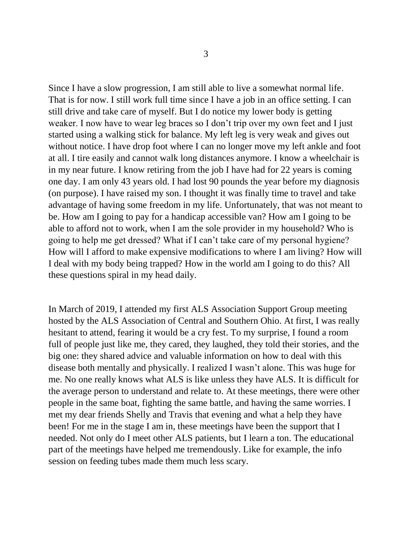Since I have a slow progression, I am still able to live a somewhat normal life. That is for now. I still work full time since I have a job in an office setting. I can still drive and take care of myself. But I do notice my lower body is getting weaker. I now have to wear leg braces so I don't trip over my own feet and I just started using a walking stick for balance. My left leg is very weak and gives out without notice. I have drop foot where I can no longer move my left ankle and foot at all. I tire easily and cannot walk long distances anymore. I know a wheelchair is in my near future. I know retiring from the job I have had for 22 years is coming one day. I am only 43 years old. I had lost 90 pounds the year before my diagnosis (on purpose). I have raised my son. I thought it was finally time to travel and take advantage of having some freedom in my life. Unfortunately, that was not meant to be. How am I going to pay for a handicap accessible van? How am I going to be able to afford not to work, when I am the sole provider in my household? Who is going to help me get dressed? What if I can't take care of my personal hygiene? How will I afford to make expensive modifications to where I am living? How will I deal with my body being trapped? How in the world am I going to do this? All these questions spiral in my head daily.

In March of 2019, I attended my first ALS Association Support Group meeting hosted by the ALS Association of Central and Southern Ohio. At first, I was really hesitant to attend, fearing it would be a cry fest. To my surprise, I found a room full of people just like me, they cared, they laughed, they told their stories, and the big one: they shared advice and valuable information on how to deal with this disease both mentally and physically. I realized I wasn't alone. This was huge for me. No one really knows what ALS is like unless they have ALS. It is difficult for the average person to understand and relate to. At these meetings, there were other people in the same boat, fighting the same battle, and having the same worries. I met my dear friends Shelly and Travis that evening and what a help they have been! For me in the stage I am in, these meetings have been the support that I needed. Not only do I meet other ALS patients, but I learn a ton. The educational part of the meetings have helped me tremendously. Like for example, the info session on feeding tubes made them much less scary.